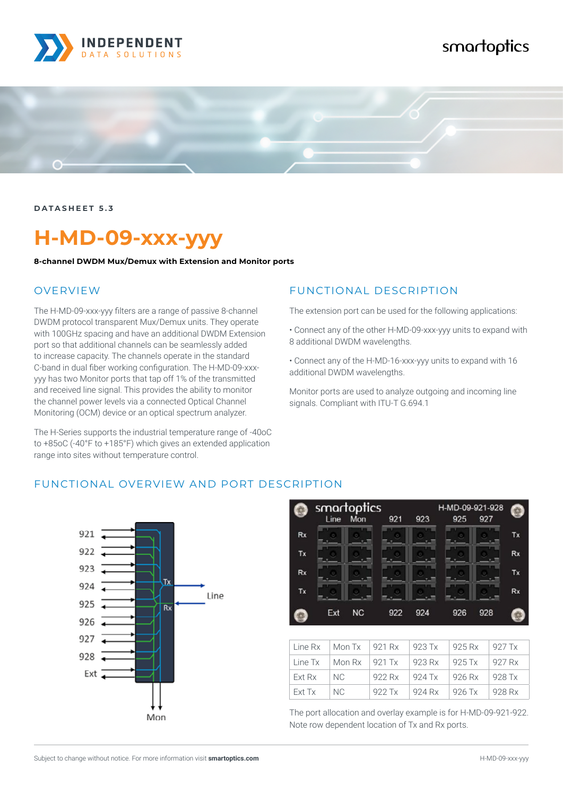

# smartoptics



**DATASHEET 5.3**

# **H-MD-09-xxx-yyy**

**8-channel DWDM Mux/Demux with Extension and Monitor ports**

#### OVERVIEW

The H-MD-09-xxx-yyy filters are a range of passive 8-channel DWDM protocol transparent Mux/Demux units. They operate with 100GHz spacing and have an additional DWDM Extension port so that additional channels can be seamlessly added to increase capacity. The channels operate in the standard C-band in dual fiber working configuration. The H-MD-09-xxxyyy has two Monitor ports that tap off 1% of the transmitted and received line signal. This provides the ability to monitor the channel power levels via a connected Optical Channel Monitoring (OCM) device or an optical spectrum analyzer.

The H-Series supports the industrial temperature range of -40oC to +85oC (-40°F to +185°F) which gives an extended application range into sites without temperature control.

#### FUNCTIONAL DESCRIPTION

The extension port can be used for the following applications:

• Connect any of the other H-MD-09-xxx-yyy units to expand with 8 additional DWDM wavelengths.

• Connect any of the H-MD-16-xxx-yyy units to expand with 16 additional DWDM wavelengths.

Monitor ports are used to analyze outgoing and incoming line signals. Compliant with ITU-T G.694.1

#### FUNCTIONAL OVERVIEW AND PORT DESCRIPTION





| Line Rx  | $\sqrt{M_{on}T_x}$ 921 Rx                   |        | $923$ Tx | 925 Rx          | 927 Tx   |
|----------|---------------------------------------------|--------|----------|-----------------|----------|
| Line Tx  | $\blacksquare$ Mon Rx $\blacksquare$ 921 Tx |        | 923 Rx   | $\sqrt{925}$ Tx | 927 Rx   |
| l Ext Rx | NC.                                         | 922 Rx | 924 Tx   | 926 Rx          | $928$ Tx |
| l Ext Tx | NC.                                         | 922 Tx | 924 Rx   | 926 Tx          | 928 Rx   |

The port allocation and overlay example is for H-MD-09-921-922. Note row dependent location of Tx and Rx ports.